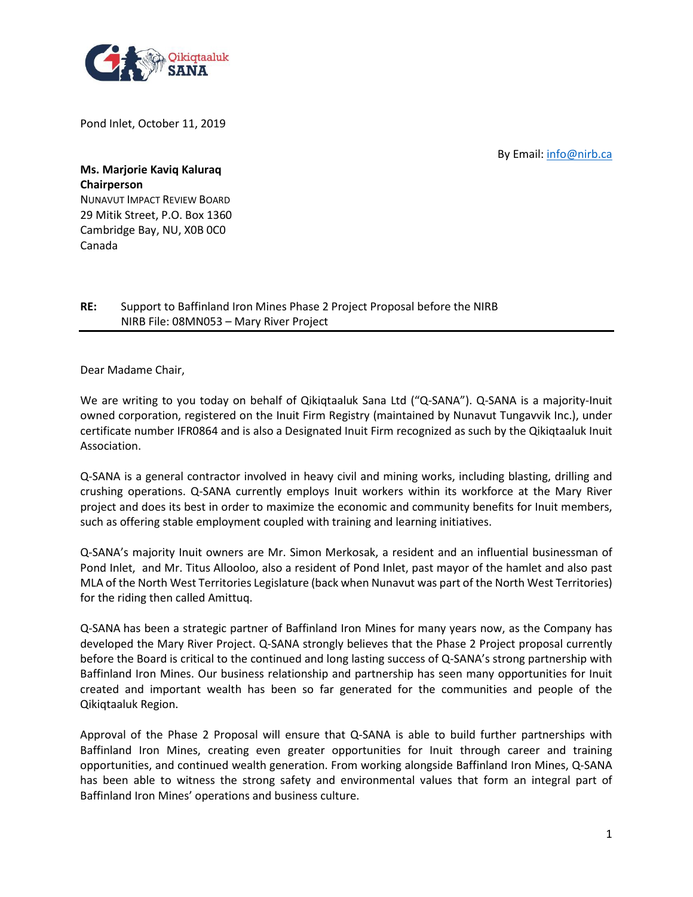

Pond Inlet, October 11, 2019

By Email: [info@nirb.ca](mailto:info@nirb.ca)

**Ms. Marjorie Kaviq Kaluraq Chairperson** NUNAVUT IMPACT REVIEW BOARD 29 Mitik Street, P.O. Box 1360 Cambridge Bay, NU, X0B 0C0 Canada

## **RE:** Support to Baffinland Iron Mines Phase 2 Project Proposal before the NIRB NIRB File: 08MN053 – Mary River Project

Dear Madame Chair,

We are writing to you today on behalf of Qikiqtaaluk Sana Ltd ("Q-SANA"). Q-SANA is a majority-Inuit owned corporation, registered on the Inuit Firm Registry (maintained by Nunavut Tungavvik Inc.), under certificate number IFR0864 and is also a Designated Inuit Firm recognized as such by the Qikiqtaaluk Inuit Association.

Q-SANA is a general contractor involved in heavy civil and mining works, including blasting, drilling and crushing operations. Q-SANA currently employs Inuit workers within its workforce at the Mary River project and does its best in order to maximize the economic and community benefits for Inuit members, such as offering stable employment coupled with training and learning initiatives.

Q-SANA's majority Inuit owners are Mr. Simon Merkosak, a resident and an influential businessman of Pond Inlet, and Mr. Titus Allooloo, also a resident of Pond Inlet, past mayor of the hamlet and also past MLA of the North West Territories Legislature (back when Nunavut was part of the North West Territories) for the riding then called Amittuq.

Q-SANA has been a strategic partner of Baffinland Iron Mines for many years now, as the Company has developed the Mary River Project. Q-SANA strongly believes that the Phase 2 Project proposal currently before the Board is critical to the continued and long lasting success of Q-SANA's strong partnership with Baffinland Iron Mines. Our business relationship and partnership has seen many opportunities for Inuit created and important wealth has been so far generated for the communities and people of the Qikiqtaaluk Region.

Approval of the Phase 2 Proposal will ensure that Q-SANA is able to build further partnerships with Baffinland Iron Mines, creating even greater opportunities for Inuit through career and training opportunities, and continued wealth generation. From working alongside Baffinland Iron Mines, Q-SANA has been able to witness the strong safety and environmental values that form an integral part of Baffinland Iron Mines' operations and business culture.